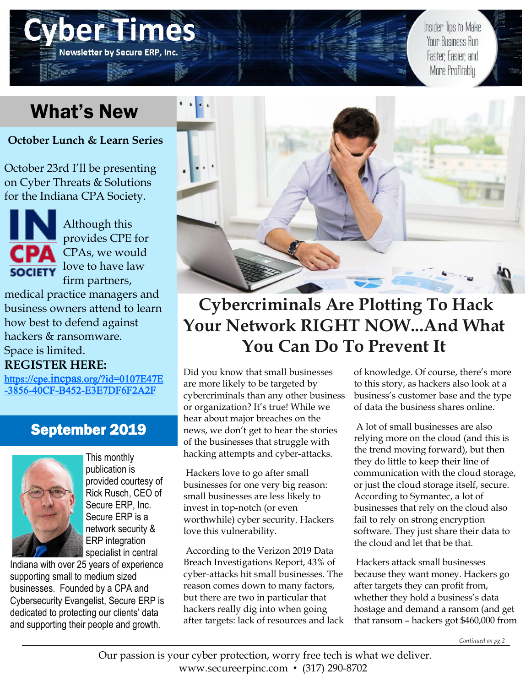# What's New

**Newsletter by Secure ERP, Inc** 

**October Lunch & Learn Series**

October 23rd I'll be presenting on Cyber Threats & Solutions for the Indiana CPA Society.



Although this provides CPE for CPAs, we would **SOCIETY** love to have law firm partners,

medical practice managers and business owners attend to learn how best to defend against hackers & ransomware. Space is limited.

## **REGISTER HERE:**

https://cpe.incpas[.org/?id=0107E47E](https://cpe.incpas.org/?id=0107E47E-3856-40CF-B452-E3E7DF6F2A2F) -3856-40CF-B452-[E3E7DF6F2A2F](https://cpe.incpas.org/?id=0107E47E-3856-40CF-B452-E3E7DF6F2A2F)

# September 2019



This monthly publication is provided courtesy of Rick Rusch, CEO of Secure ERP, Inc. Secure ERP is a network security & ERP integration specialist in central

Indiana with over 25 years of experience supporting small to medium sized businesses. Founded by a CPA and Cybersecurity Evangelist, Secure ERP is dedicated to protecting our clients' data and supporting their people and growth.



# **Cybercriminals Are Plotting To Hack Your Network RIGHT NOW...And What You Can Do To Prevent It**

Did you know that small businesses are more likely to be targeted by cybercriminals than any other business or organization? It's true! While we hear about major breaches on the news, we don't get to hear the stories of the businesses that struggle with hacking attempts and cyber-attacks.

Hackers love to go after small businesses for one very big reason: small businesses are less likely to invest in top-notch (or even worthwhile) cyber security. Hackers love this vulnerability.

According to the Verizon 2019 Data Breach Investigations Report, 43% of cyber-attacks hit small businesses. The reason comes down to many factors, but there are two in particular that hackers really dig into when going after targets: lack of resources and lack of knowledge. Of course, there's more to this story, as hackers also look at a business's customer base and the type of data the business shares online.

Insider Tips to Make **Your Business Run** 

Faster Easier and More Profitably

A lot of small businesses are also relying more on the cloud (and this is the trend moving forward), but then they do little to keep their line of communication with the cloud storage, or just the cloud storage itself, secure. According to Symantec, a lot of businesses that rely on the cloud also fail to rely on strong encryption software. They just share their data to the cloud and let that be that.

Hackers attack small businesses because they want money. Hackers go after targets they can profit from, whether they hold a business's data hostage and demand a ransom (and get that ransom – hackers got \$460,000 from

*Continued on pg.2*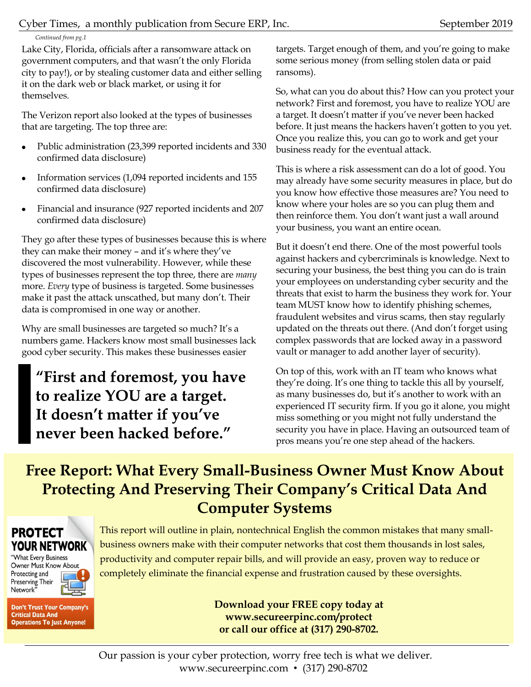*Continued from pg.1*

Lake City, Florida, officials after a ransomware attack on government computers, and that wasn't the only Florida city to pay!), or by stealing customer data and either selling it on the dark web or black market, or using it for themselves.

The Verizon report also looked at the types of businesses that are targeting. The top three are:

- Public administration (23,399 reported incidents and 330 confirmed data disclosure)
- Information services (1,094 reported incidents and 155 confirmed data disclosure)
- Financial and insurance (927 reported incidents and 207 confirmed data disclosure)

They go after these types of businesses because this is where they can make their money – and it's where they've discovered the most vulnerability. However, while these types of businesses represent the top three, there are *many* more. *Every* type of business is targeted. Some businesses make it past the attack unscathed, but many don't. Their data is compromised in one way or another.

Why are small businesses are targeted so much? It's a numbers game. Hackers know most small businesses lack good cyber security. This makes these businesses easier

**"First and foremost, you have to realize YOU are a target. It doesn't matter if you've never been hacked before."**

targets. Target enough of them, and you're going to make some serious money (from selling stolen data or paid ransoms).

So, what can you do about this? How can you protect your network? First and foremost, you have to realize YOU are a target. It doesn't matter if you've never been hacked before. It just means the hackers haven't gotten to you yet. Once you realize this, you can go to work and get your business ready for the eventual attack.

This is where a risk assessment can do a lot of good. You may already have some security measures in place, but do you know how effective those measures are? You need to know where your holes are so you can plug them and then reinforce them. You don't want just a wall around your business, you want an entire ocean.

But it doesn't end there. One of the most powerful tools against hackers and cybercriminals is knowledge. Next to securing your business, the best thing you can do is train your employees on understanding cyber security and the threats that exist to harm the business they work for. Your team MUST know how to identify phishing schemes, fraudulent websites and virus scams, then stay regularly updated on the threats out there. (And don't forget using complex passwords that are locked away in a password vault or manager to add another layer of security).

On top of this, work with an IT team who knows what they're doing. It's one thing to tackle this all by yourself, as many businesses do, but it's another to work with an experienced IT security firm. If you go it alone, you might miss something or you might not fully understand the security you have in place. Having an outsourced team of pros means you're one step ahead of the hackers.

# **Free Report: What Every Small-Business Owner Must Know About Protecting And Preserving Their Company's Critical Data And Computer Systems**

#### **PROTECT YOUR NETWORK** "What Every Business Owner Must Know About Protecting and Preserving Their<br>Network"

This report will outline in plain, nontechnical English the common mistakes that many smallbusiness owners make with their computer networks that cost them thousands in lost sales, productivity and computer repair bills, and will provide an easy, proven way to reduce or completely eliminate the financial expense and frustration caused by these oversights.

Don't Trust Your Company's **Critical Data And Operations To Just Anyone!** 

**Download your FREE copy today at www.secureerpinc.com/protect or call our office at (317) 290-8702.**

Our passion is your cyber protection, worry free tech is what we deliver. www.secureerpinc.com • (317) 290-8702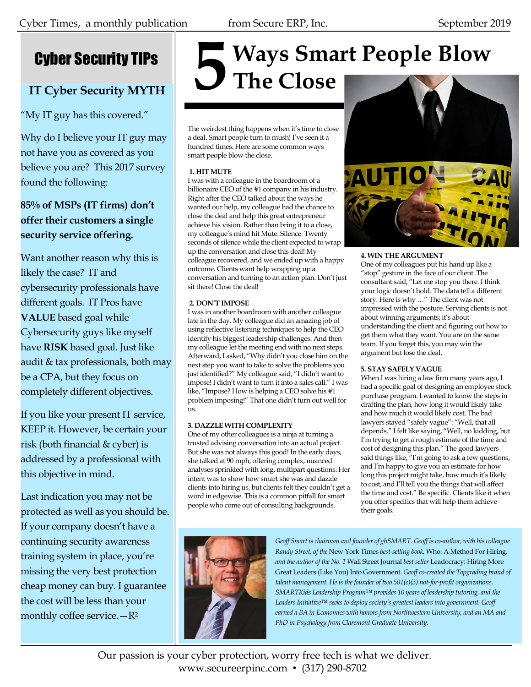# Cyber Security TIPs

# **IT Cyber Security MYTH**

"My IT guy has this covered."

Why do I believe your IT guy may not have you as covered as you believe you are? This 2017 survey found the following:

## **85% of MSPs (IT firms) don't offer their customers a single security service offering.**

Want another reason why this is likely the case? IT and cybersecurity professionals have different goals. IT Pros have **VALUE** based goal while Cybersecurity guys like myself have **RISK** based goal. Just like audit & tax professionals, both may be a CPA, but they focus on completely different objectives.

If you like your present IT service, KEEP it. However, be certain your risk (both financial & cyber) is addressed by a professional with this objective in mind.

Last indication you may not be protected as well as you should be. If your company doesn't have a continuing security awareness training system in place, you're missing the very best protection cheap money can buy. I guarantee the cost will be less than your monthly coffee service. $-R^2$ 

# **Ways Smart People Blow 5 The Close**

The weirdest thing happens when it's time to close a deal. Smart people turn to mush! I've seen it a hundred times. Here are some common ways smart people blow the close.

#### **1. HIT MUTE**

I was with a colleague in the boardroom of a billionaire CEO of the #1 company in his industry. Right after the CEO talked about the ways he wanted our help, my colleague had the chance to close the deal and help this great entrepreneur achieve his vision. Rather than bring it to a close, my colleague's mind hit Mute. Silence. Twenty seconds of silence while the client expected to wrap up the conversation and close this deal! My colleague recovered, and we ended up with a happy outcome. Clients want help wrapping up a conversation and turning to an action plan. Don't just sit there! Close the deal!

#### **2. DON'T IMPOSE**

I was in another boardroom with another colleague late in the day. My colleague did an amazing job of using reflective listening techniques to help the CEO identify his biggest leadership challenges. And then my colleague let the meeting end with no next steps. Afterward, I asked, "Why didn't you close him on the next step you want to take to solve the problems you just identified?" My colleague said, "I didn't want to impose! I didn't want to turn it into a sales call." I was like, "Impose? How is helping a CEO solve his #1 problem imposing!" That one didn't turn out well for us.

#### **3. DAZZLE WITH COMPLEXITY**

One of my other colleagues is a ninja at turning a trusted advising conversation into an actual project. But she was not always this good! In the early days, she talked at 90 mph, offering complex, nuanced analyses sprinkled with long, multipart questions. Her intent was to show how smart she was and dazzle clients into hiring us, but clients felt they couldn't get a word in edgewise. This is a common pitfall for smart people who come out of consulting backgrounds.



#### **4. WIN THE ARGUMENT**

One of my colleagues put his hand up like a "stop" gesture in the face of our client. The consultant said, "Let me stop you there. I think your logic doesn't hold. The data tell a different story. Here is why …" The client was not impressed with the posture. Serving clients is not about winning arguments; it's about understanding the client and figuring out how to get them what they want. You are on the same team. If you forget this, you may win the argument but lose the deal.

#### **5. STAY SAFELY VAGUE**

When I was hiring a law firm many years ago, I had a specific goal of designing an employee stock purchase program. I wanted to know the steps in drafting the plan, how long it would likely take and how much it would likely cost. The bad lawyers stayed "safely vague": "Well, that all depends." I felt like saying, "Well, no kidding, but I'm trying to get a rough estimate of the time and cost of designing this plan." The good lawyers said things like, "I'm going to ask a few questions, and I'm happy to give you an estimate for how long this project might take, how much it's likely to cost, and I'll tell you the things that will affect the time and cost." Be specific. Clients like it when you offer specifics that will help them achieve their goals.



*Geoff Smart is chairman and founder of ghSMART. Geoff is co-author, with his colleague Randy Street, of the* New York Times *best-selling book,* Who: A Method For Hiring, *and the author of the No. 1* Wall Street Journal *best seller* Leadocracy: Hiring More Great Leaders (Like You) Into Government*. Geoff co-created the Topgrading brand of talent management. He is the founder of two 501(c)(3) not-for-profit organizations. SMARTKids Leadership Program™ provides 10 years of leadership tutoring, and the Leaders Initiative™ seeks to deploy society's greatest leaders into government. Geoff earned a BA in Economics with honors from Northwestern University, and an MA and PhD in Psychology from Claremont Graduate University.*

Our passion is your cyber protection, worry free tech is what we deliver. www.secureerpinc.com • (317) 290-8702